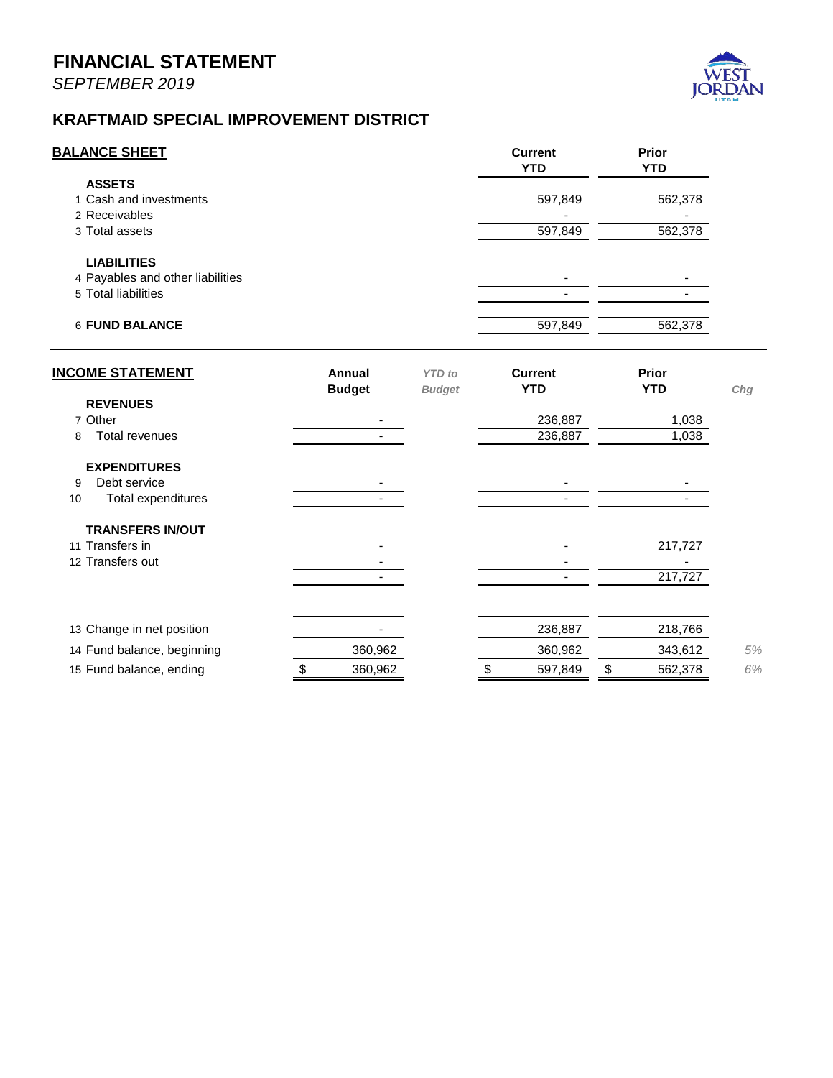

## *Fleet Management Fund*

The Fleet Management Fund is an internal service fund which means it provides services to the entire City and all its Funds and is reimbursed for these services at a rate equal to the long-term planning needs of the service. It is reported similar to an enterprise fund. To understand the financial position of the Fleet Management Fund, the reader should take note of Lines 1 and 10 (Cash and Net position).

The long-term plan for this service depends on \$4.2m per year being dedicated towards this fund for the replacement and maintenance of vehicles and equipment for the City. The reserves for the fund reflect approximately 1.25 years of savings in preparation for large infrastructure demands like fire engines, ladder trucks, snow plows, etc.

All activity is within expected budget levels.

## *IT Infrastructure Fund*

The IT Infrastructure Fund is an internal service fund which means it provides services to the entire City and all its Funds and is reimbursed for these services at a rate equal to the long-term planning needs of the service. It is reported similar to an enterprise fund. To understand the financial position of the IT Infrastructure Fund, the reader should take note of Lines 1 and 7 (Cash and Net position).

The long-term plan for this service depends on \$330k per year being dedicated towards this fund for the replacement of computers, servers, hardware, software, etc. The reserves for the fund reflect approximately 4 years of savings in preparation for large infrastructure demands.

## *Risk Management Fund*

The Risk Management Fund receives its support from all the other funds in the form of an assessment. Reserves are currently negative due to the timing of the payment of the City's premiums at the beginning of the year and the assessments to recover that payment occurring over time during the year. Premiums increased year over year by 5% from the prior year.

Domyce Steck

Danyce Steck, CPFO Finance Director – City of West Jordan November 8, 2019